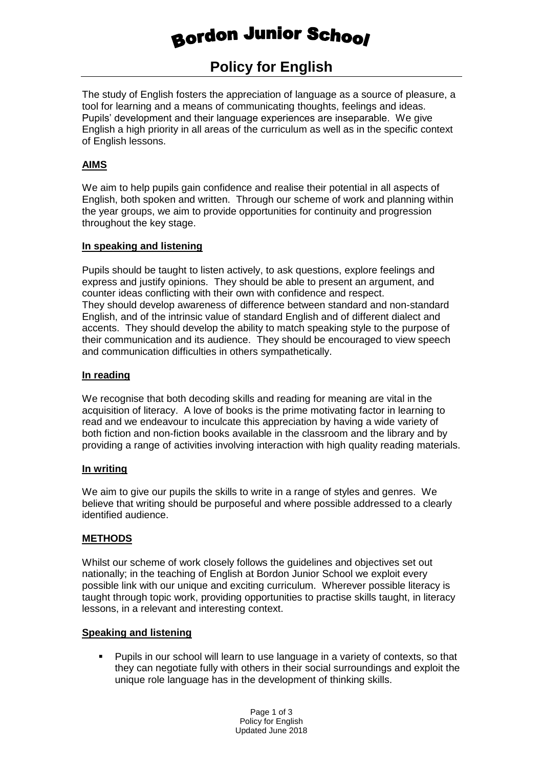# **Bordon Junior School**

# **Policy for English**

The study of English fosters the appreciation of language as a source of pleasure, a tool for learning and a means of communicating thoughts, feelings and ideas. Pupils' development and their language experiences are inseparable. We give English a high priority in all areas of the curriculum as well as in the specific context of English lessons.

#### **AIMS**

We aim to help pupils gain confidence and realise their potential in all aspects of English, both spoken and written. Through our scheme of work and planning within the year groups, we aim to provide opportunities for continuity and progression throughout the key stage.

#### **In speaking and listening**

Pupils should be taught to listen actively, to ask questions, explore feelings and express and justify opinions. They should be able to present an argument, and counter ideas conflicting with their own with confidence and respect. They should develop awareness of difference between standard and non-standard English, and of the intrinsic value of standard English and of different dialect and accents. They should develop the ability to match speaking style to the purpose of their communication and its audience. They should be encouraged to view speech and communication difficulties in others sympathetically.

## **In reading**

We recognise that both decoding skills and reading for meaning are vital in the acquisition of literacy. A love of books is the prime motivating factor in learning to read and we endeavour to inculcate this appreciation by having a wide variety of both fiction and non-fiction books available in the classroom and the library and by providing a range of activities involving interaction with high quality reading materials.

#### **In writing**

We aim to give our pupils the skills to write in a range of styles and genres. We believe that writing should be purposeful and where possible addressed to a clearly identified audience.

#### **METHODS**

Whilst our scheme of work closely follows the guidelines and objectives set out nationally; in the teaching of English at Bordon Junior School we exploit every possible link with our unique and exciting curriculum. Wherever possible literacy is taught through topic work, providing opportunities to practise skills taught, in literacy lessons, in a relevant and interesting context.

#### **Speaking and listening**

 Pupils in our school will learn to use language in a variety of contexts, so that they can negotiate fully with others in their social surroundings and exploit the unique role language has in the development of thinking skills.

> Page 1 of 3 Policy for English Updated June 2018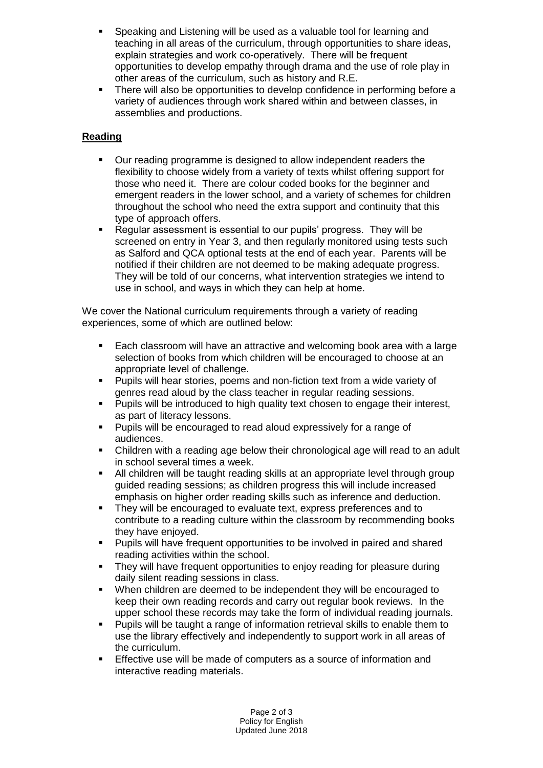- Speaking and Listening will be used as a valuable tool for learning and teaching in all areas of the curriculum, through opportunities to share ideas, explain strategies and work co-operatively. There will be frequent opportunities to develop empathy through drama and the use of role play in other areas of the curriculum, such as history and R.E.
- There will also be opportunities to develop confidence in performing before a variety of audiences through work shared within and between classes, in assemblies and productions.

# **Reading**

- Our reading programme is designed to allow independent readers the flexibility to choose widely from a variety of texts whilst offering support for those who need it. There are colour coded books for the beginner and emergent readers in the lower school, and a variety of schemes for children throughout the school who need the extra support and continuity that this type of approach offers.
- Regular assessment is essential to our pupils' progress. They will be screened on entry in Year 3, and then regularly monitored using tests such as Salford and QCA optional tests at the end of each year. Parents will be notified if their children are not deemed to be making adequate progress. They will be told of our concerns, what intervention strategies we intend to use in school, and ways in which they can help at home.

We cover the National curriculum requirements through a variety of reading experiences, some of which are outlined below:

- Each classroom will have an attractive and welcoming book area with a large selection of books from which children will be encouraged to choose at an appropriate level of challenge.
- Pupils will hear stories, poems and non-fiction text from a wide variety of genres read aloud by the class teacher in regular reading sessions.
- **Pupils will be introduced to high quality text chosen to engage their interest,** as part of literacy lessons.
- Pupils will be encouraged to read aloud expressively for a range of audiences.
- Children with a reading age below their chronological age will read to an adult in school several times a week.
- All children will be taught reading skills at an appropriate level through group guided reading sessions; as children progress this will include increased emphasis on higher order reading skills such as inference and deduction.
- They will be encouraged to evaluate text, express preferences and to contribute to a reading culture within the classroom by recommending books they have enjoyed.
- Pupils will have frequent opportunities to be involved in paired and shared reading activities within the school.
- They will have frequent opportunities to enjoy reading for pleasure during daily silent reading sessions in class.
- When children are deemed to be independent they will be encouraged to keep their own reading records and carry out regular book reviews. In the upper school these records may take the form of individual reading journals.
- Pupils will be taught a range of information retrieval skills to enable them to use the library effectively and independently to support work in all areas of the curriculum.
- **Effective use will be made of computers as a source of information and** interactive reading materials.